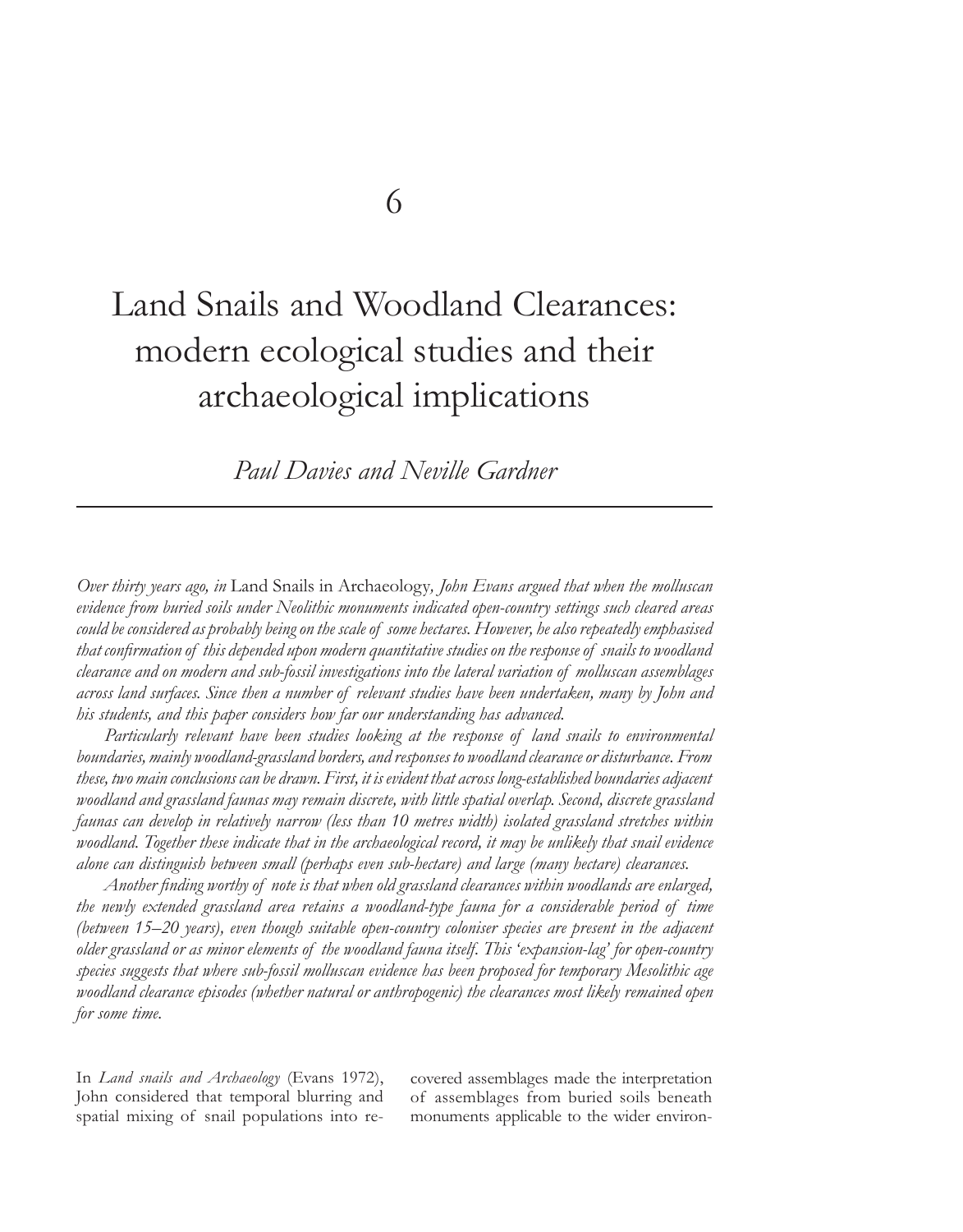# Land Snails and Woodland Clearances: modern ecological studies and their archaeological implications

*Paul Davies and Neville Gardner*

*Over thirty years ago, in* Land Snails in Archaeology*, John Evans argued that when the molluscan evidence from buried soils under Neolithic monuments indicated open-country settings such cleared areas could be considered as probably being on the scale of some hectares. However, he also repeatedly emphasised that confirmation of this depended upon modern quantitative studies on the response of snails to woodland clearance and on modern and sub-fossil investigations into the lateral variation of molluscan assemblages across land surfaces. Since then a number of relevant studies have been undertaken, many by John and his students, and this paper considers how far our understanding has advanced.*

 *Particularly relevant have been studies looking at the response of land snails to environmental boundaries, mainly woodland-grassland borders, and responses to woodland clearance or disturbance. From these, two main conclusions can be drawn. First, it is evident that across long-established boundaries adjacent woodland and grassland faunas may remain discrete, with little spatial overlap. Second, discrete grassland faunas can develop in relatively narrow (less than 10 metres width) isolated grassland stretches within woodland. Together these indicate that in the archaeological record, it may be unlikely that snail evidence alone can distinguish between small (perhaps even sub-hectare) and large (many hectare) clearances.*

 *Another finding worthy of note is that when old grassland clearances within woodlands are enlarged, the newly extended grassland area retains a woodland-type fauna for a considerable period of time (between 15–20 years), even though suitable open-country coloniser species are present in the adjacent older grassland or as minor elements of the woodland fauna itself. This 'expansion-lag' for open-country species suggests that where sub-fossil molluscan evidence has been proposed for temporary Mesolithic age woodland clearance episodes (whether natural or anthropogenic) the clearances most likely remained open for some time.* 

In *Land snails and Archaeology* (Evans 1972), John considered that temporal blurring and spatial mixing of snail populations into recovered assemblages made the interpretation of assemblages from buried soils beneath monuments applicable to the wider environ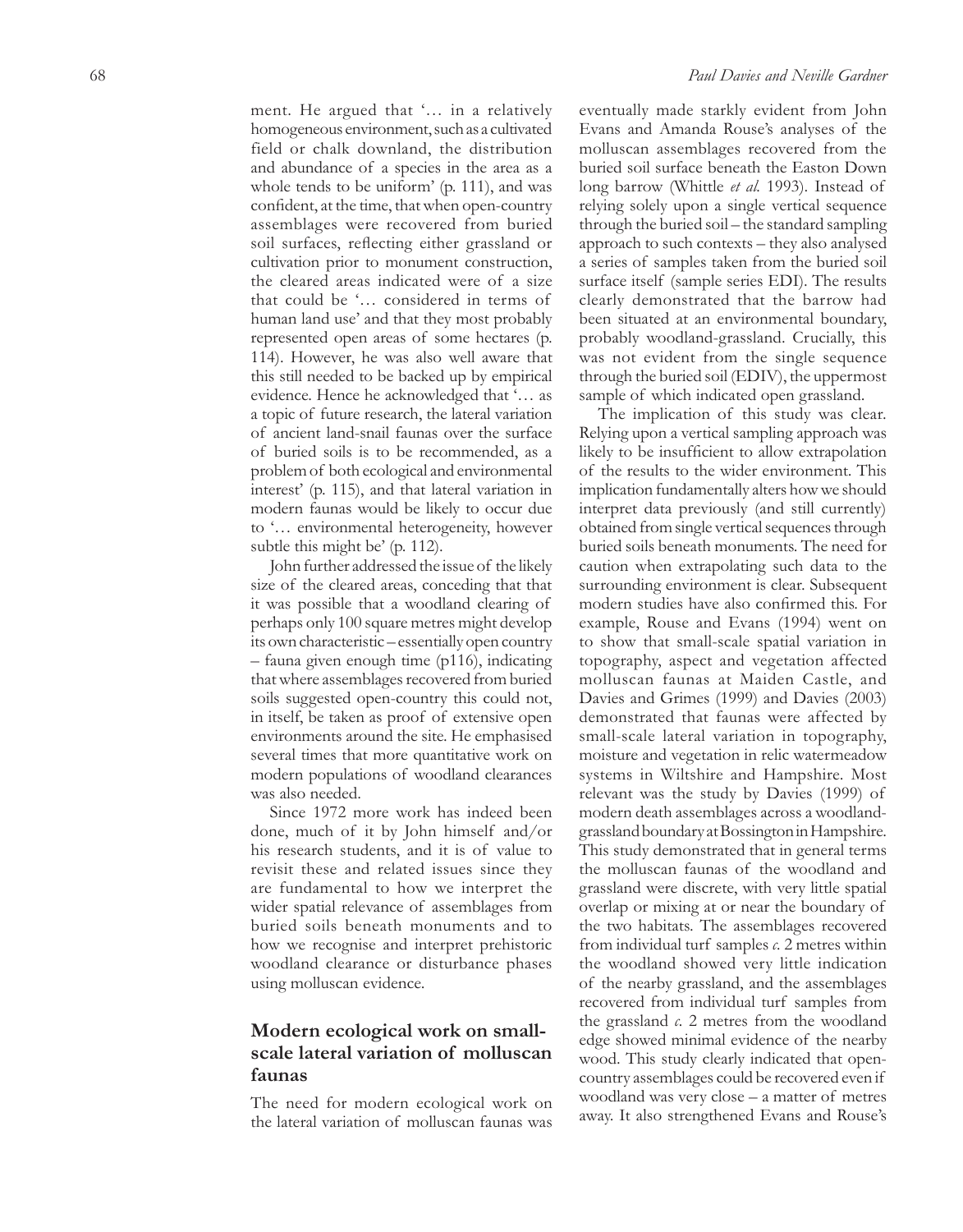ment. He argued that '… in a relatively homogeneous environment, such as a cultivated field or chalk downland, the distribution and abundance of a species in the area as a whole tends to be uniform' (p. 111), and was confident, at the time, that when open -country assemblages were recovered from buried soil surfaces, reflecting either grassland or cultivation prior to monument construction, the cleared areas indicated were of a size that could be '… considered in terms of human land use' and that they most probably represented open areas of some hectares (p. 114). However, he was also well aware that this still needed to be backed up by empirical evidence. Hence he acknowledged that '… as a topic of future research, the lateral variation of ancient land -snail faunas over the surface of buried soils is to be recommended, as a problem of both ecological and environmental interest' (p. 115), and that lateral variation in modern faunas would be likely to occur due to '… environmental heterogeneity, however subtle this might be' (p. 112).

John further addressed the issue of the likely size of the cleared areas, conceding that that it was possible that a woodland clearing of perhaps only 100 square metres might develop its own characteristic – essentially open country – fauna given enough time (p116), indicating that where assemblages recovered from buried soils suggested open -country this could not, in itself, be taken as proof of extensive open environments around the site. He emphasised several times that more quantitative work on modern populations of woodland clearances was also needed.

Since 1972 more work has indeed been done, much of it by John himself and/or his research students, and it is of value to revisit these and related issues since they are fundamental to how we interpret the wider spatial relevance of assemblages from buried soils beneath monuments and to how we recognise and interpret prehistoric woodland clearance or disturbance phases using molluscan evidence.

## **Modern ecological work on smallscale lateral variation of molluscan faunas**

The need for modern ecological work on the lateral variation of molluscan faunas was

eventually made starkly evident from John Evans and Amanda Rouse's analyses of the molluscan assemblages recovered from the buried soil surface beneath the Easton Down long barrow (Whittle *et al.* 1993). Instead of relying solely upon a single vertical sequence through the buried soil – the standard sampling approach to such contexts – they also analysed a series of samples taken from the buried soil surface itself (sample series EDI). The results clearly demonstrated that the barrow had been situated at an environmental boundary, probably woodland -grassland. Crucially, this was not evident from the single sequence through the buried soil (EDIV), the uppermost sample of which indicated open grassland.

The implication of this study was clear. Relying upon a vertical sampling approach was likely to be insufficient to allow extrapolation of the results to the wider environment. This implication fundamentally alters how we should interpret data previously (and still currently) obtained from single vertical sequences through buried soils beneath monuments. The need for caution when extrapolating such data to the surrounding environment is clear. Subsequent modern studies have also confirmed this. For example, Rouse and Evans (1994) went on to show that small -scale spatial variation in topography, aspect and vegetation affected molluscan faunas at Maiden Castle, and Davies and Grimes (1999) and Davies (2003) demonstrated that faunas were affected by small -scale lateral variation in topography, moisture and vegetation in relic watermeadow systems in Wiltshire and Hampshire. Most relevant was the study by Davies (1999) of modern death assemblages across a woodland grassland boundary at Bossington in Hampshire. This study demonstrated that in general terms the molluscan faunas of the woodland and grassland were discrete, with very little spatial overlap or mixing at or near the boundary of the two habitats. The assemblages recovered from individual turf samples *c.* 2 metres within the woodland showed very little indication of the nearby grassland, and the assemblages recovered from individual turf samples from the grassland *c.* 2 metres from the woodland edge showed minimal evidence of the nearby wood. This study clearly indicated that open country assemblages could be recovered even if woodland was very close – a matter of metres away. It also strengthened Evans and Rouse's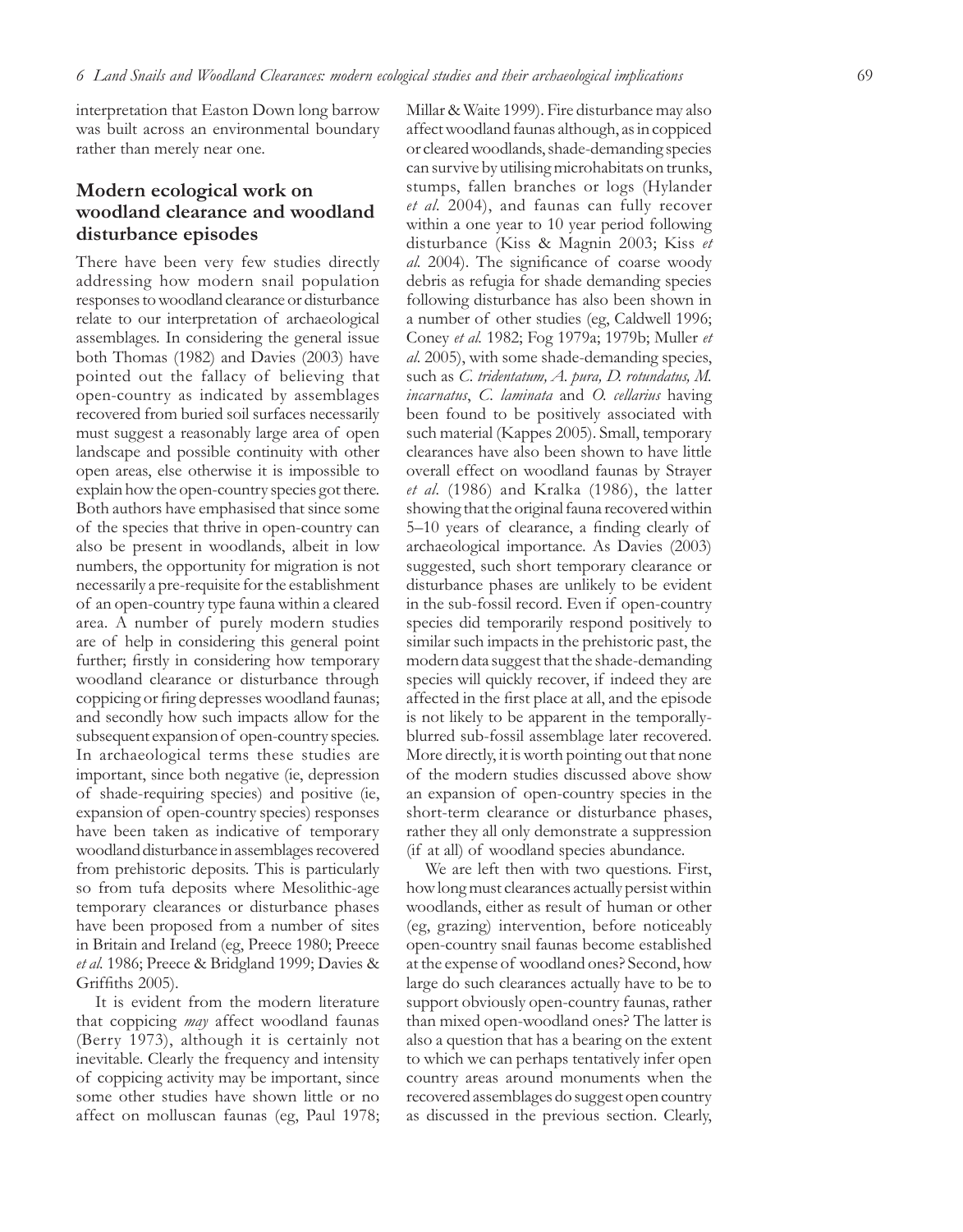interpretation that Easton Down long barrow was built across an environmental boundary rather than merely near one.

## **Modern ecological work on woodland clearance and woodland disturbance episodes**

There have been very few studies directly addressing how modern snail population responses to woodland clearance or disturbance relate to our interpretation of archaeological assemblages. In considering the general issue both Thomas (1982) and Davies (2003) have pointed out the fallacy of believing that open-country as indicated by assemblages recovered from buried soil surfaces necessarily must suggest a reasonably large area of open landscape and possible continuity with other open areas, else otherwise it is impossible to explain how the open-country species got there. Both authors have emphasised that since some of the species that thrive in open-country can also be present in woodlands, albeit in low numbers, the opportunity for migration is not necessarily a pre-requisite for the establishment of an open-country type fauna within a cleared area. A number of purely modern studies are of help in considering this general point further; firstly in considering how temporary woodland clearance or disturbance through coppicing or firing depresses woodland faunas; and secondly how such impacts allow for the subsequent expansion of open-country species. In archaeological terms these studies are important, since both negative (ie, depression of shade-requiring species) and positive (ie, expansion of open-country species) responses have been taken as indicative of temporary woodland disturbance in assemblages recovered from prehistoric deposits. This is particularly so from tufa deposits where Mesolithic-age temporary clearances or disturbance phases have been proposed from a number of sites in Britain and Ireland (eg, Preece 1980; Preece *et al.* 1986; Preece & Bridgland 1999; Davies & Griffiths 2005).

It is evident from the modern literature that coppicing *may* affect woodland faunas (Berry 1973), although it is certainly not inevitable. Clearly the frequency and intensity of coppicing activity may be important, since some other studies have shown little or no affect on molluscan faunas (eg, Paul 1978;

Millar & Waite 1999). Fire disturbance may also affect woodland faunas although, as in coppiced or cleared woodlands, shade-demanding species can survive by utilising microhabitats on trunks, stumps, fallen branches or logs (Hylander *et al.* 2004), and faunas can fully recover within a one year to 10 year period following disturbance (Kiss & Magnin 2003; Kiss *et al.* 2004). The significance of coarse woody debris as refugia for shade demanding species following disturbance has also been shown in a number of other studies (eg, Caldwell 1996; Coney *et al.* 1982; Fog 1979a; 1979b; Muller *et al.* 2005), with some shade-demanding species, such as *C. tridentatum, A. pura, D. rotundatus, M. incarnatus*, *C. laminata* and *O. cellarius* having been found to be positively associated with such material (Kappes 2005). Small, temporary clearances have also been shown to have little overall effect on woodland faunas by Strayer *et al.* (1986) and Kralka (1986), the latter showing that the original fauna recovered within 5–10 years of clearance, a finding clearly of archaeological importance. As Davies (2003) suggested, such short temporary clearance or disturbance phases are unlikely to be evident in the sub-fossil record. Even if open-country species did temporarily respond positively to similar such impacts in the prehistoric past, the modern data suggest that the shade-demanding species will quickly recover, if indeed they are affected in the first place at all, and the episode is not likely to be apparent in the temporallyblurred sub-fossil assemblage later recovered. More directly, it is worth pointing out that none of the modern studies discussed above show an expansion of open-country species in the short-term clearance or disturbance phases, rather they all only demonstrate a suppression (if at all) of woodland species abundance.

We are left then with two questions. First, how long must clearances actually persist within woodlands, either as result of human or other (eg, grazing) intervention, before noticeably open-country snail faunas become established at the expense of woodland ones? Second, how large do such clearances actually have to be to support obviously open-country faunas, rather than mixed open-woodland ones? The latter is also a question that has a bearing on the extent to which we can perhaps tentatively infer open country areas around monuments when the recovered assemblages do suggest open country as discussed in the previous section. Clearly,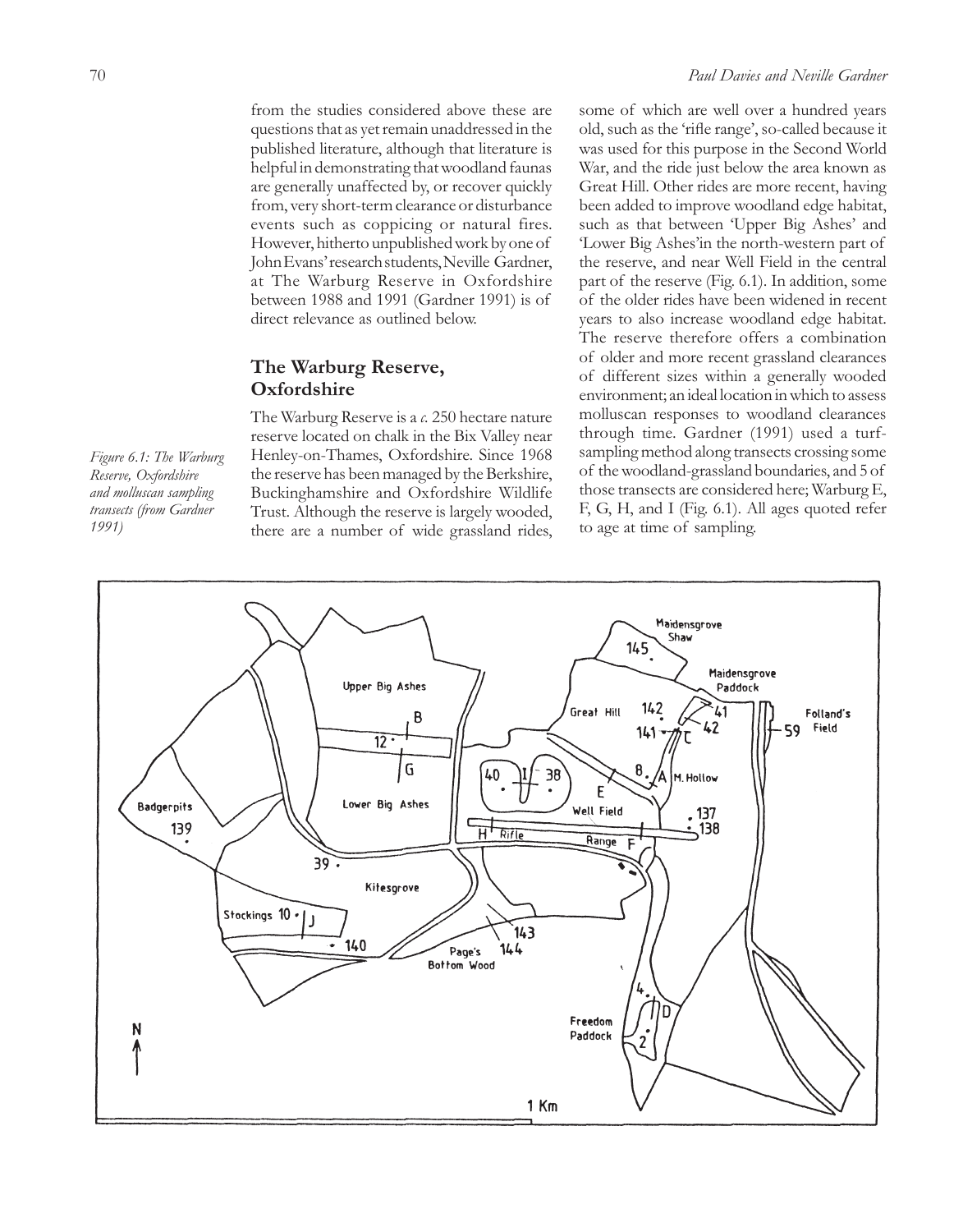from the studies considered above these are questions that as yet remain unaddressed in the published literature, although that literature is helpful in demonstrating that woodland faunas are generally unaffected by, or recover quickly from, very short-term clearance or disturbance events such as coppicing or natural fires. However, hitherto unpublished work by one of John Evans' research students, Neville Gardner, at The Warburg Reserve in Oxfordshire between 1988 and 1991 (Gardner 1991) is of direct relevance as outlined below.

## **The Warburg Reserve, Oxfordshire**

The Warburg Reserve is a *c.* 250 hectare nature reserve located on chalk in the Bix Valley near Henley-on-Thames, Oxfordshire. Since 1968 the reserve has been managed by the Berkshire, Buckinghamshire and Oxfordshire Wildlife Trust. Although the reserve is largely wooded, there are a number of wide grassland rides,

some of which are well over a hundred years old, such as the 'rifle range', so-called because it was used for this purpose in the Second World War, and the ride just below the area known as Great Hill. Other rides are more recent, having been added to improve woodland edge habitat, such as that between 'Upper Big Ashes' and 'Lower Big Ashes'in the north-western part of the reserve, and near Well Field in the central part of the reserve (Fig. 6.1). In addition, some of the older rides have been widened in recent years to also increase woodland edge habitat. The reserve therefore offers a combination of older and more recent grassland clearances of different sizes within a generally wooded environment; an ideal location in which to assess molluscan responses to woodland clearances through time. Gardner (1991) used a turfsampling method along transects crossing some of the woodland-grassland boundaries, and 5 of those transects are considered here; Warburg E, F, G, H, and I (Fig. 6.1). All ages quoted refer to age at time of sampling.



*Figure 6.1: The Warburg Reserve, Oxfordshire and molluscan sampling transects (from Gardner 1991)*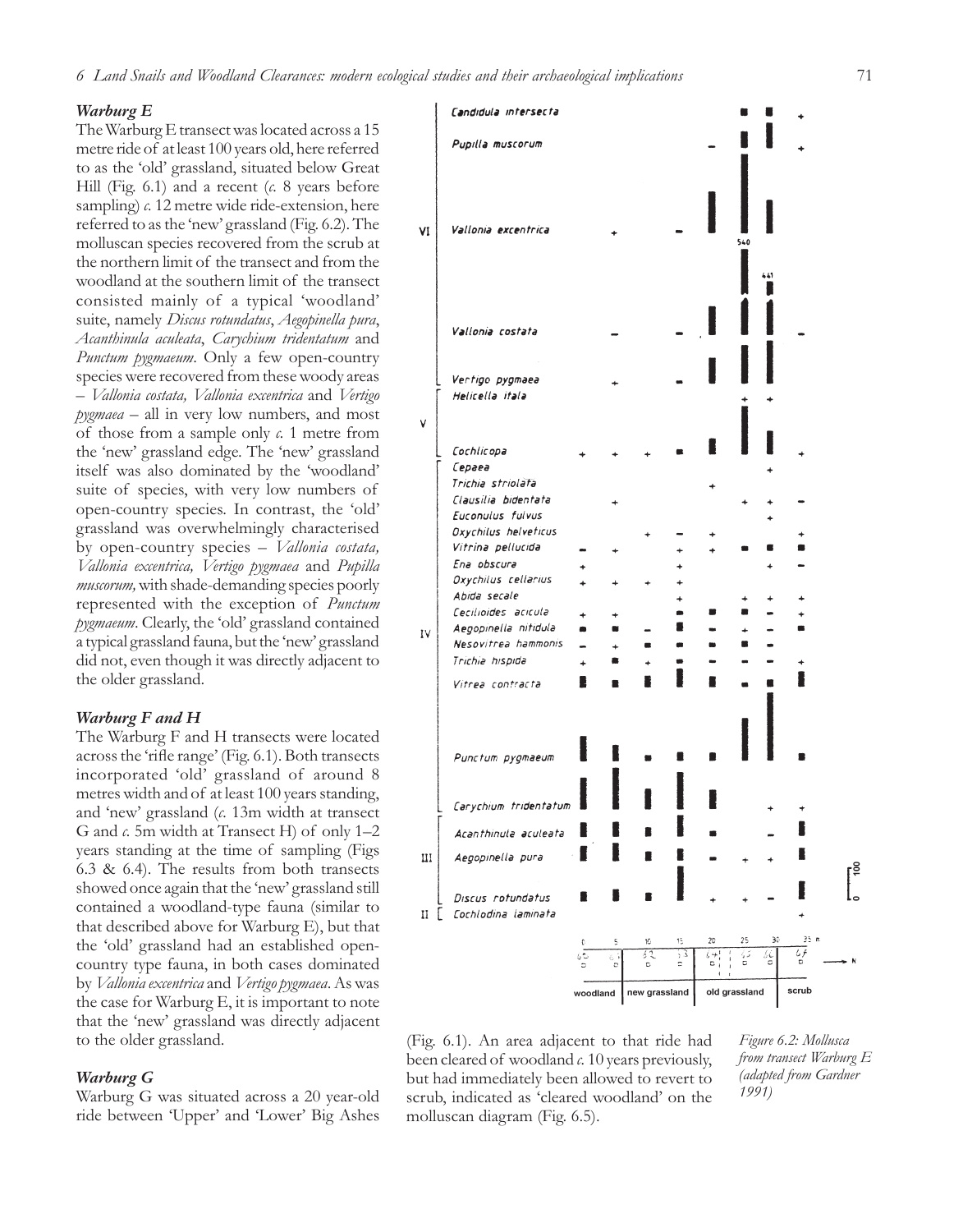#### *Warburg E*

The Warburg E transect was located across a 15 metre ride of at least 100 years old, here referred to as the 'old' grassland, situated below Great Hill (Fig. 6.1) and a recent (*c.* 8 years before sampling)  $c$ . 12 metre wide ride-extension, here referred to as the 'new' grassland (Fig. 6.2). The molluscan species recovered from the scrub at the northern limit of the transect and from the woodland at the southern limit of the transect consisted mainly of a typical 'woodland' suite, namely *Discus rotundatus*, *Aegopinella pura*, *Acanthinula aculeata*, *Carychium tridentatum* and *Punctum pygmaeum*. Only a few open-country species were recovered from these woody areas – *Vallonia costata, Vallonia excentrica* and *Vertigo pygmaea* – all in very low numbers, and most of those from a sample only *c.* 1 metre from the 'new' grassland edge. The 'new' grassland itself was also dominated by the 'woodland' suite of species, with very low numbers of open-country species. In contrast, the 'old' grassland was overwhelmingly characterised by open-country species – *Vallonia costata, Vallonia excentrica, Vertigo pygmaea* and *Pupilla muscorum,* with shade-demanding species poorly represented with the exception of *Punctum pygmaeum*. Clearly, the 'old' grassland contained a typical grassland fauna, but the 'new' grassland did not, even though it was directly adjacent to the older grassland.

#### *Warburg F and H*

The Warburg F and H transects were located across the 'rifle range' (Fig. 6.1). Both transects incorporated 'old' grassland of around 8 metres width and of at least 100 years standing, and 'new' grassland (*c.* 13m width at transect G and *c.* 5m width at Transect H) of only 1–2 years standing at the time of sampling (Figs 6.3 & 6.4). The results from both transects showed once again that the 'new' grassland still contained a woodland-type fauna (similar to that described above for Warburg E), but that the 'old' grassland had an established opencountry type fauna, in both cases dominated by *Vallonia excentrica* and *Vertigo pygmaea*. As was the case for Warburg E, it is important to note that the 'new' grassland was directly adjacent to the older grassland.

#### *Warburg G*

Warburg G was situated across a 20 year-old ride between 'Upper' and 'Lower' Big Ashes



(Fig. 6.1). An area adjacent to that ride had been cleared of woodland *c.* 10 years previously, but had immediately been allowed to revert to scrub, indicated as 'cleared woodland' on the molluscan diagram (Fig. 6.5).

*Figure 6.2: Mollusca from transect Warburg E (adapted from Gardner 1991)*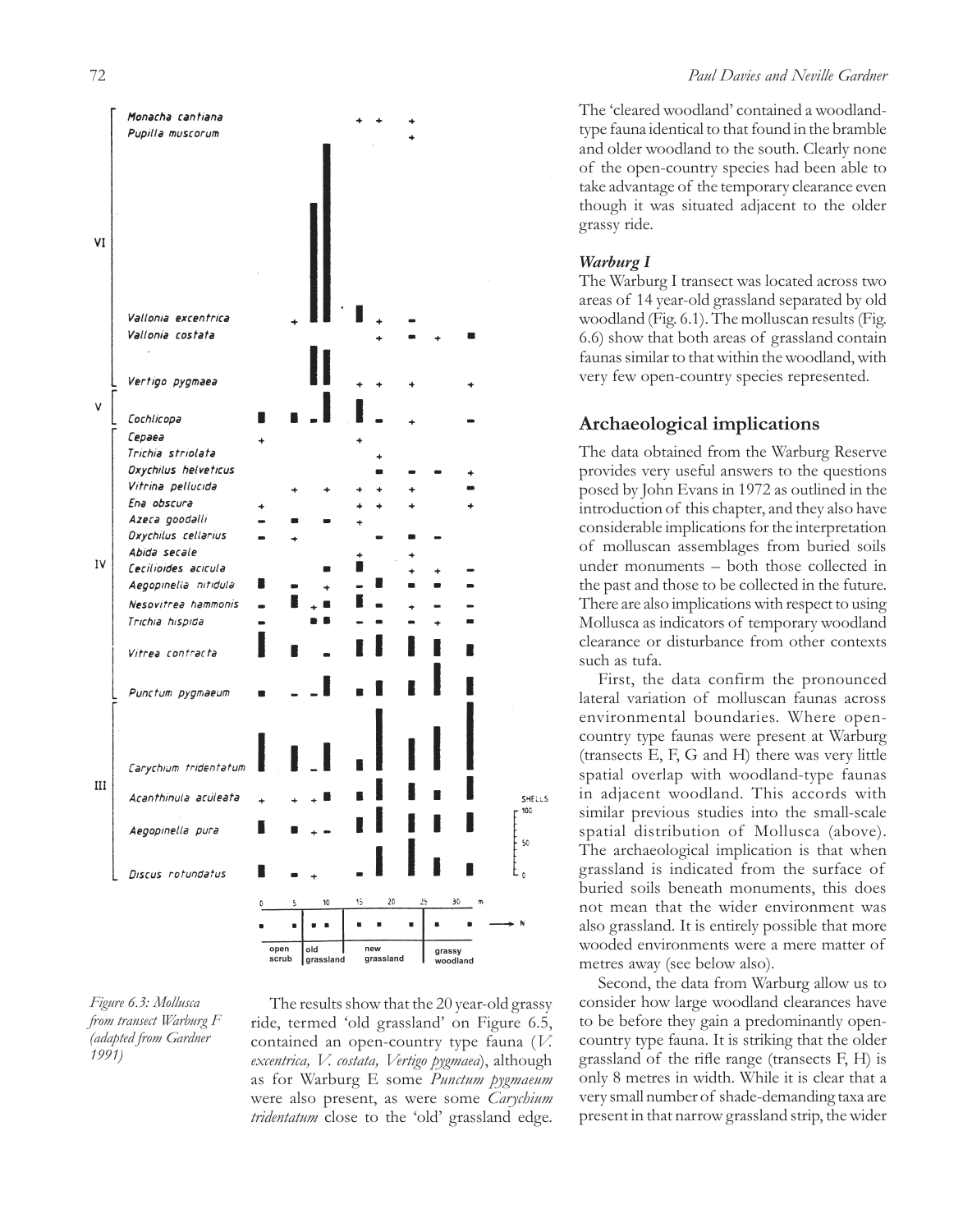

*Figure 6.3: Mollusca from transect Warburg F (adapted from Gardner 1991)*

The results show that the 20 year-old grassy ride, termed 'old grassland' on Figure 6.5, contained an open-country type fauna (*V. excentrica, V. costata, Vertigo pygmaea*), although as for Warburg E some *Punctum pygmaeum* were also present, as were some *Carychium tridentatum* close to the 'old' grassland edge.

The 'cleared woodland' contained a woodlandtype fauna identical to that found in the bramble and older woodland to the south. Clearly none of the open-country species had been able to take advantage of the temporary clearance even though it was situated adjacent to the older grassy ride.

## *Warburg I*

The Warburg I transect was located across two areas of 14 year-old grassland separated by old woodland (Fig. 6.1). The molluscan results (Fig. 6.6) show that both areas of grassland contain faunas similar to that within the woodland, with very few open-country species represented.

## **Archaeological implications**

The data obtained from the Warburg Reserve provides very useful answers to the questions posed by John Evans in 1972 as outlined in the introduction of this chapter, and they also have considerable implications for the interpretation of molluscan assemblages from buried soils under monuments – both those collected in the past and those to be collected in the future. There are also implications with respect to using Mollusca as indicators of temporary woodland clearance or disturbance from other contexts such as tufa.

First, the data confirm the pronounced lateral variation of molluscan faunas across environmental boundaries. Where opencountry type faunas were present at Warburg (transects E, F, G and H) there was very little spatial overlap with woodland-type faunas in adjacent woodland. This accords with similar previous studies into the small-scale spatial distribution of Mollusca (above). The archaeological implication is that when grassland is indicated from the surface of buried soils beneath monuments, this does not mean that the wider environment was also grassland. It is entirely possible that more wooded environments were a mere matter of metres away (see below also).

Second, the data from Warburg allow us to consider how large woodland clearances have to be before they gain a predominantly opencountry type fauna. It is striking that the older grassland of the rifle range (transects F, H) is only 8 metres in width. While it is clear that a very small number of shade-demanding taxa are present in that narrow grassland strip, the wider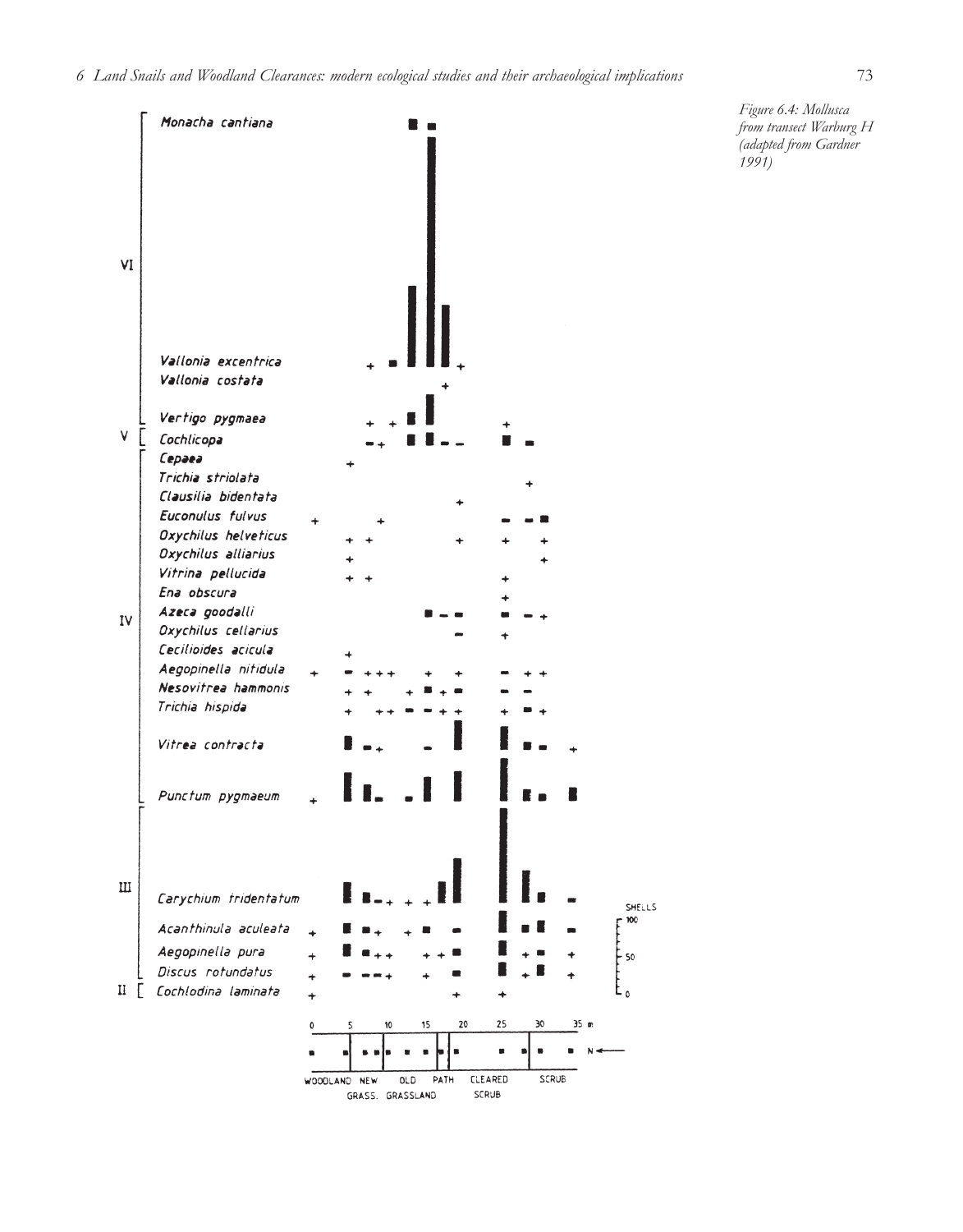

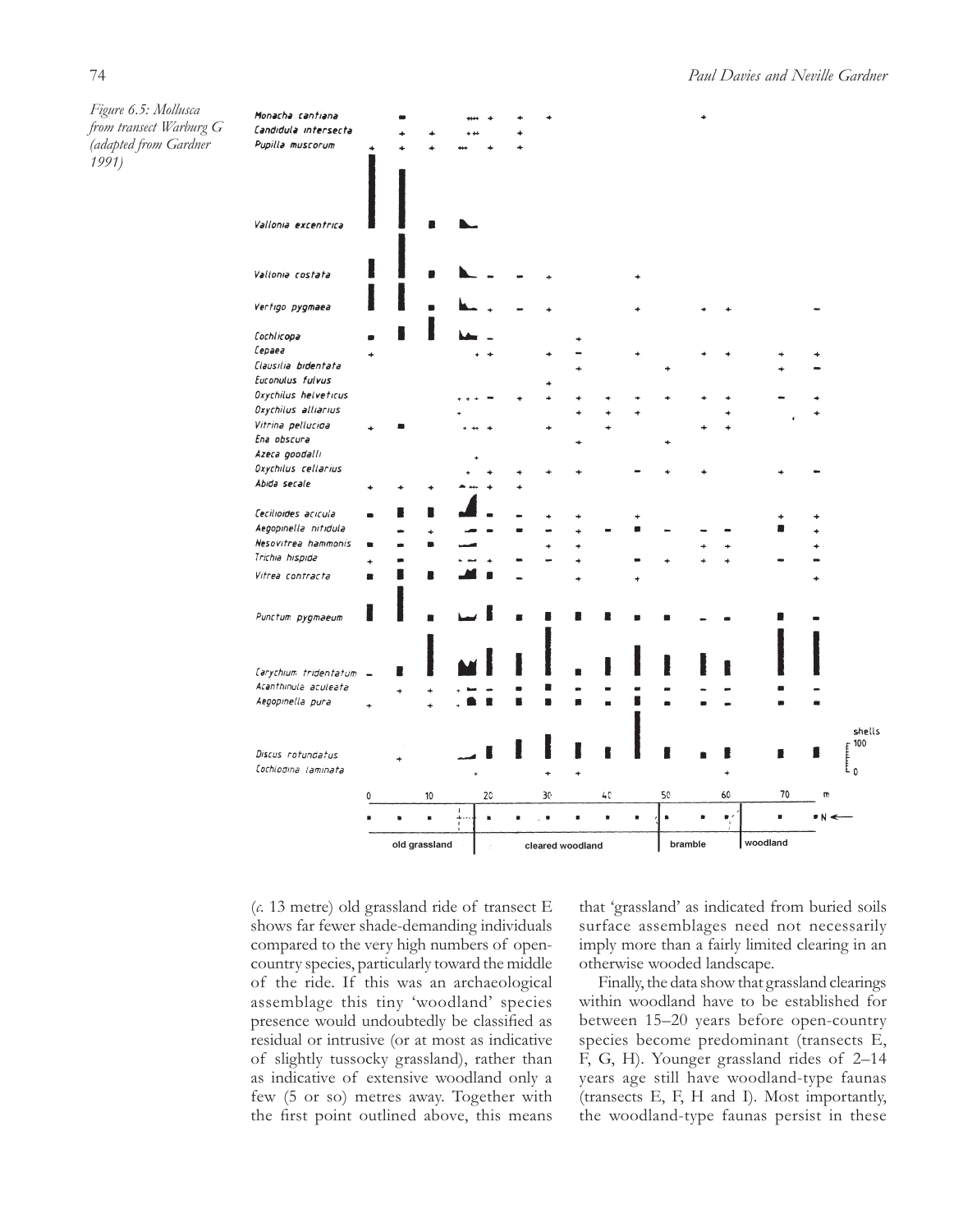*Figure 6.5: Mollusca from transect Warburg G (adapted from Gardner 1991)*

|                                             |   | old grassland |                     |              | cleared woodland |  |    |  |                |                | bramble        |           |                                       | woodland |    |                |                                          |
|---------------------------------------------|---|---------------|---------------------|--------------|------------------|--|----|--|----------------|----------------|----------------|-----------|---------------------------------------|----------|----|----------------|------------------------------------------|
|                                             |   |               | $\bullet$           | á.           | $\blacksquare$   |  |    |  | $\bullet$      | $\blacksquare$ | $\blacksquare$ | $\bullet$ | $\overline{\phantom{a}}^{\prime}_{i}$ |          | s  | $N \leftarrow$ |                                          |
|                                             | 0 |               | 10                  | $\mathbf{I}$ | 20               |  | 30 |  | 40             |                | 50             |           | 60                                    |          | 70 | m              |                                          |
|                                             |   |               |                     |              |                  |  |    |  |                |                |                |           |                                       |          |    |                |                                          |
| Cochiodina laminata                         |   |               |                     |              |                  |  | ٠  |  |                |                |                |           |                                       |          |    |                | $\begin{bmatrix} 100 \\ 0 \end{bmatrix}$ |
| Discus rotundatus                           |   |               |                     |              |                  |  |    |  |                |                |                |           |                                       |          | ۵  | н              | shells                                   |
|                                             |   |               |                     |              |                  |  |    |  |                |                |                |           |                                       |          |    |                |                                          |
| Aegopinella pura                            |   |               |                     |              |                  |  |    |  | $\blacksquare$ |                |                |           |                                       |          |    |                |                                          |
| Acanthinula aculeata                        |   |               |                     |              |                  |  |    |  |                |                |                |           |                                       |          |    |                |                                          |
| Carychium tridentatum -                     |   |               |                     |              |                  |  |    |  |                |                |                |           |                                       |          |    |                |                                          |
|                                             |   |               |                     |              |                  |  |    |  |                |                |                |           |                                       |          |    |                |                                          |
| Punctum pygmaeum                            |   |               |                     |              |                  |  |    |  |                |                |                |           |                                       |          |    |                |                                          |
|                                             |   |               |                     |              |                  |  |    |  |                |                |                |           |                                       |          |    |                |                                          |
| Vitrea contracta                            | ▬ |               |                     |              |                  |  |    |  |                |                |                |           |                                       |          |    |                |                                          |
| Trichia hispida                             |   |               |                     |              |                  |  |    |  |                |                |                |           |                                       |          |    |                |                                          |
| Nesovitrea hammonis                         |   |               | ÷<br>$\blacksquare$ |              |                  |  |    |  |                |                |                |           |                                       |          |    |                |                                          |
| Cecilioides acicula<br>Aegopinella nitidula |   |               |                     |              |                  |  |    |  |                |                |                |           |                                       |          |    |                |                                          |
|                                             |   |               |                     |              |                  |  |    |  |                |                |                |           |                                       |          |    |                |                                          |
| Abida secale                                |   |               |                     |              |                  |  |    |  |                |                |                |           |                                       |          |    |                |                                          |
| Oxychilus cellarius                         |   |               |                     |              |                  |  |    |  |                |                |                |           |                                       |          |    |                |                                          |
| Azeca goodalli                              |   |               |                     |              |                  |  |    |  |                |                |                |           |                                       |          |    |                |                                          |
| Vitrina pellucida<br>Ena obscura            |   |               |                     |              |                  |  |    |  |                |                |                |           |                                       |          |    |                |                                          |
| Oxychilus alliarius                         |   |               |                     |              |                  |  |    |  |                |                |                |           |                                       |          |    |                |                                          |
| Oxychilus helveticus                        |   |               |                     |              |                  |  |    |  |                |                |                |           |                                       |          |    |                |                                          |
| Euconulus fulvus                            |   |               |                     |              |                  |  |    |  |                |                |                |           |                                       |          |    |                |                                          |
| Clausilia bidentata                         |   |               |                     |              |                  |  |    |  |                |                |                |           |                                       |          |    |                |                                          |
| Cepaea                                      |   |               |                     |              |                  |  |    |  |                |                |                |           |                                       |          |    |                |                                          |
| Cochlicopa                                  |   |               |                     |              |                  |  |    |  |                |                |                |           |                                       |          |    |                |                                          |
| Vertigo pygmaea                             |   |               |                     |              |                  |  |    |  |                |                |                |           |                                       |          |    |                |                                          |
| Vallonia costata                            |   |               |                     |              |                  |  |    |  |                |                |                |           |                                       |          |    |                |                                          |
|                                             |   |               |                     |              |                  |  |    |  |                |                |                |           |                                       |          |    |                |                                          |
| Vallonia excentrica                         |   |               |                     |              |                  |  |    |  |                |                |                |           |                                       |          |    |                |                                          |
|                                             |   |               |                     |              |                  |  |    |  |                |                |                |           |                                       |          |    |                |                                          |
| Pupilla muscorum                            |   |               |                     |              |                  |  |    |  |                |                |                |           |                                       |          |    |                |                                          |
| Monacha cantiana<br>Candidula Intersecta    |   |               |                     |              |                  |  |    |  |                |                |                |           |                                       |          |    |                |                                          |

(*c.* 13 metre) old grassland ride of transect E shows far fewer shade-demanding individuals compared to the very high numbers of opencountry species, particularly toward the middle of the ride. If this was an archaeological assemblage this tiny 'woodland' species presence would undoubtedly be classified as residual or intrusive (or at most as indicative of slightly tussocky grassland), rather than as indicative of extensive woodland only a few (5 or so) metres away. Together with the first point outlined above, this means

that 'grassland' as indicated from buried soils surface assemblages need not necessarily imply more than a fairly limited clearing in an otherwise wooded landscape.

Finally, the data show that grassland clearings within woodland have to be established for between 15–20 years before open-country species become predominant (transects E, F, G, H). Younger grassland rides of 2–14 years age still have woodland-type faunas (transects E, F, H and I). Most importantly, the woodland-type faunas persist in these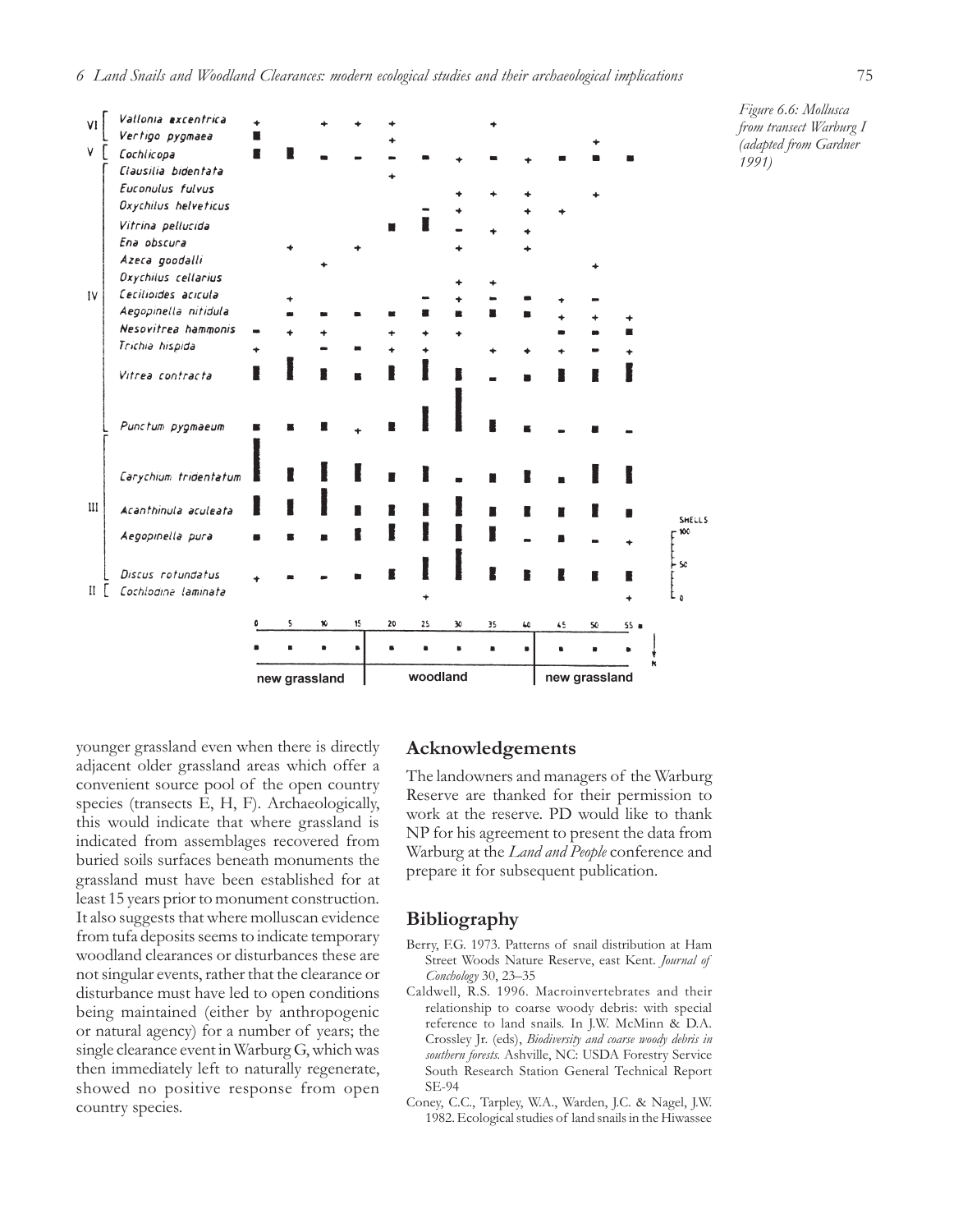



younger grassland even when there is directly adjacent older grassland areas which offer a convenient source pool of the open country species (transects E, H, F). Archaeologically, this would indicate that where grassland is indicated from assemblages recovered from buried soils surfaces beneath monuments the grassland must have been established for at least 15 years prior to monument construction. It also suggests that where molluscan evidence from tufa deposits seems to indicate temporary woodland clearances or disturbances these are not singular events, rather that the clearance or disturbance must have led to open conditions being maintained (either by anthropogenic or natural agency) for a number of years; the single clearance event in Warburg G, which was then immediately left to naturally regenerate, showed no positive response from open country species.

#### **Acknowledgements**

The landowners and managers of the Warburg Reserve are thanked for their permission to work at the reserve. PD would like to thank NP for his agreement to present the data from Warburg at the *Land and People* conference and prepare it for subsequent publication.

### **Bibliography**

- Berry, F.G. 1973. Patterns of snail distribution at Ham Street Woods Nature Reserve, east Kent. *Journal of Conchology* 30, 23–35
- Caldwell, R.S. 1996. Macroinvertebrates and their relationship to coarse woody debris: with special reference to land snails. In J.W. McMinn & D.A. Crossley Jr. (eds), *Biodiversity and coarse woody debris in southern forests.* Ashville, NC: USDA Forestry Service South Research Station General Technical Report SE-94
- Coney, C.C., Tarpley, W.A., Warden, J.C. & Nagel, J.W. 1982. Ecological studies of land snails in the Hiwassee